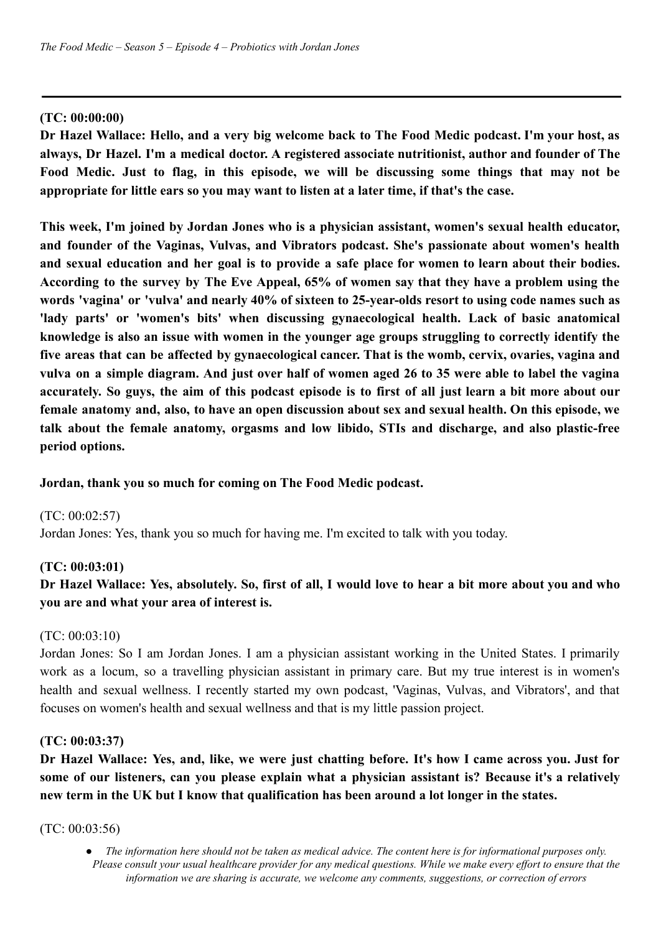# **(TC: 00:00:00)**

Dr Hazel Wallace: Hello, and a very big welcome back to The Food Medic podcast. I'm your host, as **always, Dr Hazel. I'm a medical doctor. A registered associate nutritionist, author and founder of The Food Medic. Just to flag, in this episode, we will be discussing some things that may not be appropriate for little ears so you may want to listen at a later time, if that's the case.**

**This week, I'm joined by Jordan Jones who is a physician assistant, women's sexual health educator, and founder of the Vaginas, Vulvas, and Vibrators podcast. She's passionate about women's health** and sexual education and her goal is to provide a safe place for women to learn about their bodies. According to the survey by The Eve Appeal, 65% of women say that they have a problem using the words 'vagina' or 'vulva' and nearly 40% of sixteen to 25-vear-olds resort to using code names such as **'lady parts' or 'women's bits' when discussing gynaecological health. Lack of basic anatomical knowledge is also an issue with women in the younger age groups struggling to correctly identify the five areas that can be affected by gynaecological cancer. That is the womb, cervix, ovaries, vagina and** vulva on a simple diagram. And just over half of women aged 26 to 35 were able to label the vagina accurately. So guys, the aim of this podcast episode is to first of all just learn a bit more about our female anatomy and, also, to have an open discussion about sex and sexual health. On this episode, we **talk about the female anatomy, orgasms and low libido, STIs and discharge, and also plastic-free period options.**

## **Jordan, thank you so much for coming on The Food Medic podcast.**

(TC: 00:02:57) Jordan Jones: Yes, thank you so much for having me. I'm excited to talk with you today.

## **(TC: 00:03:01)**

# Dr Hazel Wallace: Yes, absolutely. So, first of all, I would love to hear a bit more about you and who **you are and what your area of interest is.**

## (TC: 00:03:10)

Jordan Jones: So I am Jordan Jones. I am a physician assistant working in the United States. I primarily work as a locum, so a travelling physician assistant in primary care. But my true interest is in women's health and sexual wellness. I recently started my own podcast, 'Vaginas, Vulvas, and Vibrators', and that focuses on women's health and sexual wellness and that is my little passion project.

## **(TC: 00:03:37)**

Dr Hazel Wallace: Yes, and, like, we were just chatting before. It's how I came across you. Just for **some of our listeners, can you please explain what a physician assistant is? Because it's a relatively new term in the UK but I know that qualification has been around a lot longer in the states.**

(TC: 00:03:56)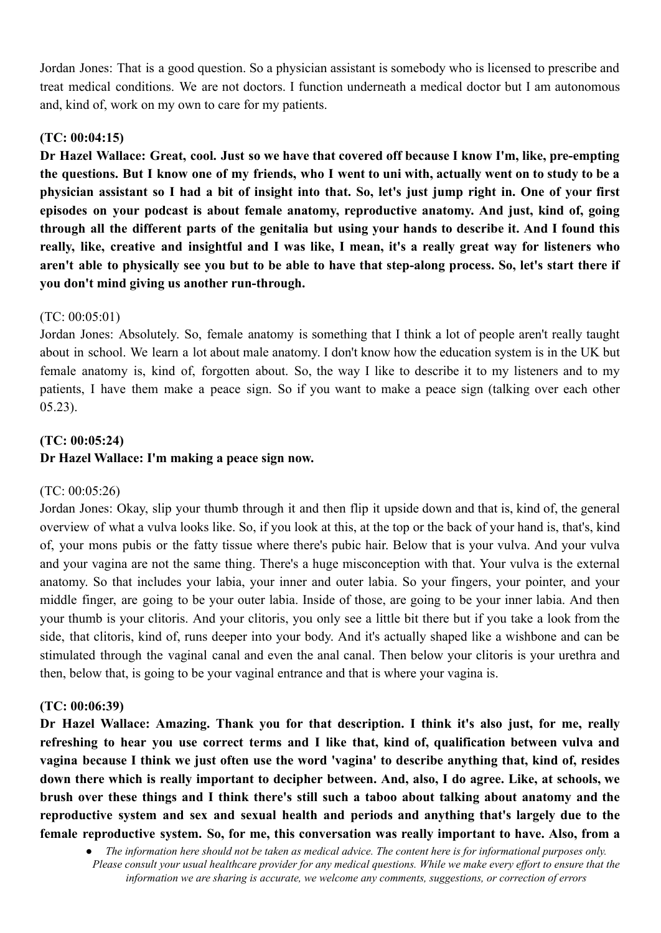Jordan Jones: That is a good question. So a physician assistant is somebody who is licensed to prescribe and treat medical conditions. We are not doctors. I function underneath a medical doctor but I am autonomous and, kind of, work on my own to care for my patients.

# **(TC: 00:04:15)**

Dr Hazel Wallace: Great, cool. Just so we have that covered off because I know I'm, like, pre-empting the questions. But I know one of my friends, who I went to uni with, actually went on to study to be a physician assistant so I had a bit of insight into that. So, let's just jump right in. One of your first **episodes on your podcast is about female anatomy, reproductive anatomy. And just, kind of, going** through all the different parts of the genitalia but using your hands to describe it. And I found this really, like, creative and insightful and I was like, I mean, it's a really great way for listeners who aren't able to physically see you but to be able to have that step-along process. So, let's start there if **you don't mind giving us another run-through.**

# (TC: 00:05:01)

Jordan Jones: Absolutely. So, female anatomy is something that I think a lot of people aren't really taught about in school. We learn a lot about male anatomy. I don't know how the education system is in the UK but female anatomy is, kind of, forgotten about. So, the way I like to describe it to my listeners and to my patients, I have them make a peace sign. So if you want to make a peace sign (talking over each other 05.23).

# **(TC: 00:05:24)**

# **Dr Hazel Wallace: I'm making a peace sign now.**

## (TC: 00:05:26)

Jordan Jones: Okay, slip your thumb through it and then flip it upside down and that is, kind of, the general overview of what a vulva looks like. So, if you look at this, at the top or the back of your hand is, that's, kind of, your mons pubis or the fatty tissue where there's pubic hair. Below that is your vulva. And your vulva and your vagina are not the same thing. There's a huge misconception with that. Your vulva is the external anatomy. So that includes your labia, your inner and outer labia. So your fingers, your pointer, and your middle finger, are going to be your outer labia. Inside of those, are going to be your inner labia. And then your thumb is your clitoris. And your clitoris, you only see a little bit there but if you take a look from the side, that clitoris, kind of, runs deeper into your body. And it's actually shaped like a wishbone and can be stimulated through the vaginal canal and even the anal canal. Then below your clitoris is your urethra and then, below that, is going to be your vaginal entrance and that is where your vagina is.

## **(TC: 00:06:39)**

**Dr Hazel Wallace: Amazing. Thank you for that description. I think it's also just, for me, really refreshing to hear you use correct terms and I like that, kind of, qualification between vulva and** vagina because I think we just often use the word 'vagina' to describe anything that, kind of, resides down there which is really important to decipher between. And, also, I do agree. Like, at schools, we **brush over these things and I think there's still such a taboo about talking about anatomy and the reproductive system and sex and sexual health and periods and anything that's largely due to the female reproductive system. So, for me, this conversation was really important to have. Also, from a**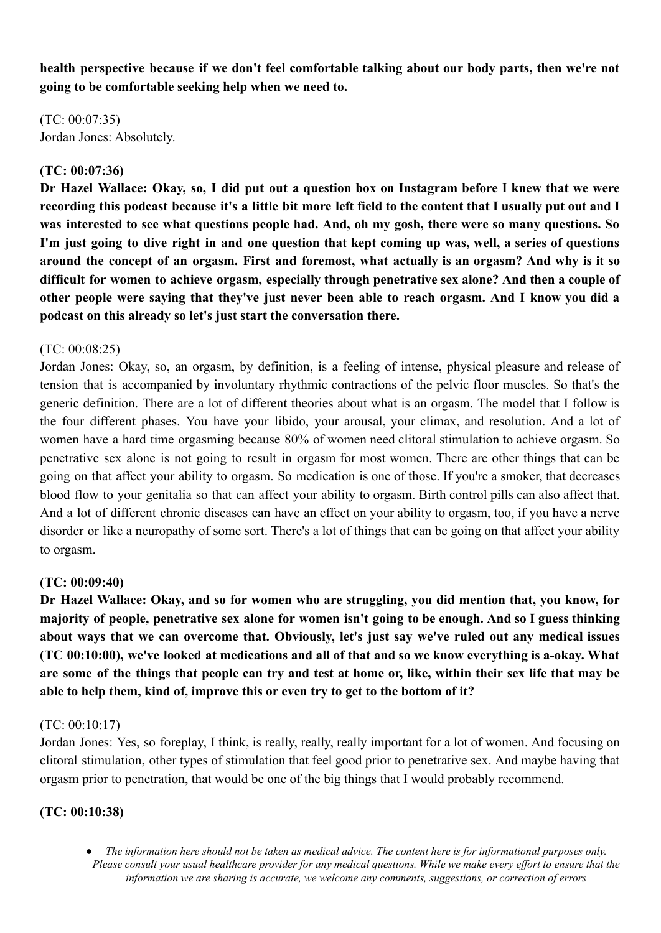**health perspective because if we don't feel comfortable talking about our body parts, then we're not going to be comfortable seeking help when we need to.**

(TC: 00:07:35) Jordan Jones: Absolutely.

## **(TC: 00:07:36)**

Dr Hazel Wallace: Okay, so, I did put out a question box on Instagram before I knew that we were recording this podcast because it's a little bit more left field to the content that I usually put out and I **was interested to see what questions people had. And, oh my gosh, there were so many questions. So** I'm just going to dive right in and one question that kept coming up was, well, a series of questions around the concept of an orgasm. First and foremost, what actually is an orgasm? And why is it so **difficult for women to achieve orgasm, especially through penetrative sex alone? And then a couple of** other people were saving that they've just never been able to reach orgasm. And I know you did a **podcast on this already so let's just start the conversation there.**

#### $(TC: 00.08.25)$

Jordan Jones: Okay, so, an orgasm, by definition, is a feeling of intense, physical pleasure and release of tension that is accompanied by involuntary rhythmic contractions of the pelvic floor muscles. So that's the generic definition. There are a lot of different theories about what is an orgasm. The model that I follow is the four different phases. You have your libido, your arousal, your climax, and resolution. And a lot of women have a hard time orgasming because 80% of women need clitoral stimulation to achieve orgasm. So penetrative sex alone is not going to result in orgasm for most women. There are other things that can be going on that affect your ability to orgasm. So medication is one of those. If you're a smoker, that decreases blood flow to your genitalia so that can affect your ability to orgasm. Birth control pills can also affect that. And a lot of different chronic diseases can have an effect on your ability to orgasm, too, if you have a nerve disorder or like a neuropathy of some sort. There's a lot of things that can be going on that affect your ability to orgasm.

## **(TC: 00:09:40)**

**Dr Hazel Wallace: Okay, and so for women who are struggling, you did mention that, you know, for** majority of people, penetrative sex alone for women isn't going to be enough. And so I guess thinking **about ways that we can overcome that. Obviously, let's just say we've ruled out any medical issues** (TC 00:10:00), we've looked at medications and all of that and so we know everything is a-okay. What are some of the things that people can try and test at home or, like, within their sex life that may be **able to help them, kind of, improve this or even try to get to the bottom of it?**

#### (TC: 00:10:17)

Jordan Jones: Yes, so foreplay, I think, is really, really, really important for a lot of women. And focusing on clitoral stimulation, other types of stimulation that feel good prior to penetrative sex. And maybe having that orgasm prior to penetration, that would be one of the big things that I would probably recommend.

#### **(TC: 00:10:38)**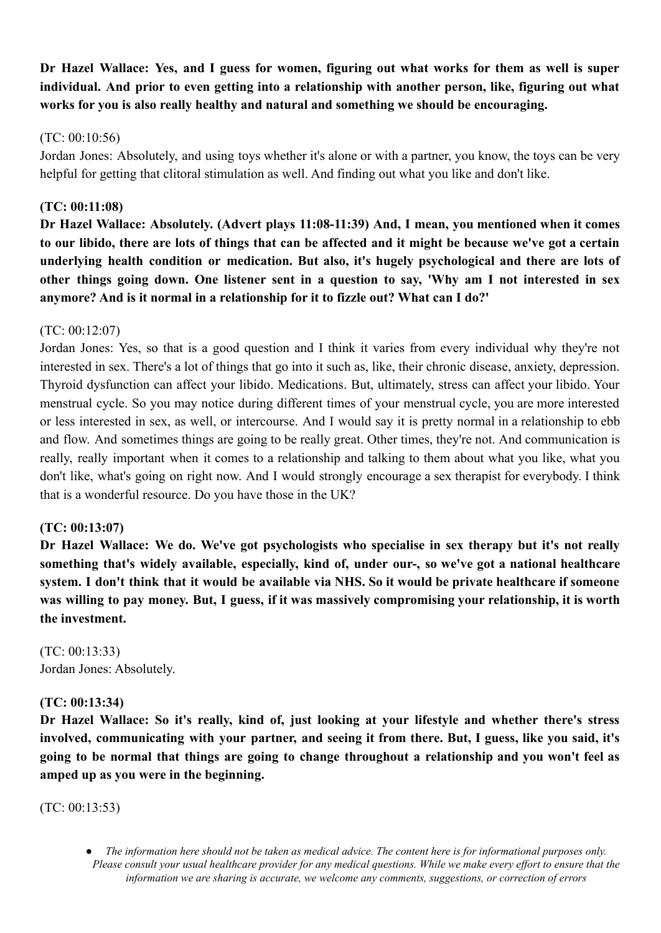Dr Hazel Wallace: Yes, and I guess for women, figuring out what works for them as well is super **individual. And prior to even getting into a relationship with another person, like, figuring out what works for you is also really healthy and natural and something we should be encouraging.**

# (TC: 00:10:56)

Jordan Jones: Absolutely, and using toys whether it's alone or with a partner, you know, the toys can be very helpful for getting that clitoral stimulation as well. And finding out what you like and don't like.

# **(TC: 00:11:08)**

**Dr Hazel Wallace: Absolutely. (Advert plays 11:08-11:39) And, I mean, you mentioned when it comes** to our libido, there are lots of things that can be affected and it might be because we've got a certain **underlying health condition or medication. But also, it's hugely psychological and there are lots of** other things going down. One listener sent in a question to say, 'Why am I not interested in sex **anymore? And is it normal in a relationship for it to fizzle out? What can I do?'**

# (TC: 00:12:07)

Jordan Jones: Yes, so that is a good question and I think it varies from every individual why they're not interested in sex. There's a lot of things that go into it such as, like, their chronic disease, anxiety, depression. Thyroid dysfunction can affect your libido. Medications. But, ultimately, stress can affect your libido. Your menstrual cycle. So you may notice during different times of your menstrual cycle, you are more interested or less interested in sex, as well, or intercourse. And I would say it is pretty normal in a relationship to ebb and flow. And sometimes things are going to be really great. Other times, they're not. And communication is really, really important when it comes to a relationship and talking to them about what you like, what you don't like, what's going on right now. And I would strongly encourage a sex therapist for everybody. I think that is a wonderful resource. Do you have those in the UK?

# **(TC: 00:13:07)**

**Dr Hazel Wallace: We do. We've got psychologists who specialise in sex therapy but it's not really something that's widely available, especially, kind of, under our-, so we've got a national healthcare** system. I don't think that it would be available via NHS. So it would be private healthcare if someone was willing to pay money. But, I guess, if it was massively compromising your relationship, it is worth **the investment.**

(TC: 00:13:33) Jordan Jones: Absolutely.

# **(TC: 00:13:34)**

**Dr Hazel Wallace: So it's really, kind of, just looking at your lifestyle and whether there's stress involved, communicating with your partner, and seeing it from there. But, I guess, like you said, it's going to be normal that things are going to change throughout a relationship and you won't feel as amped up as you were in the beginning.**

(TC: 00:13:53)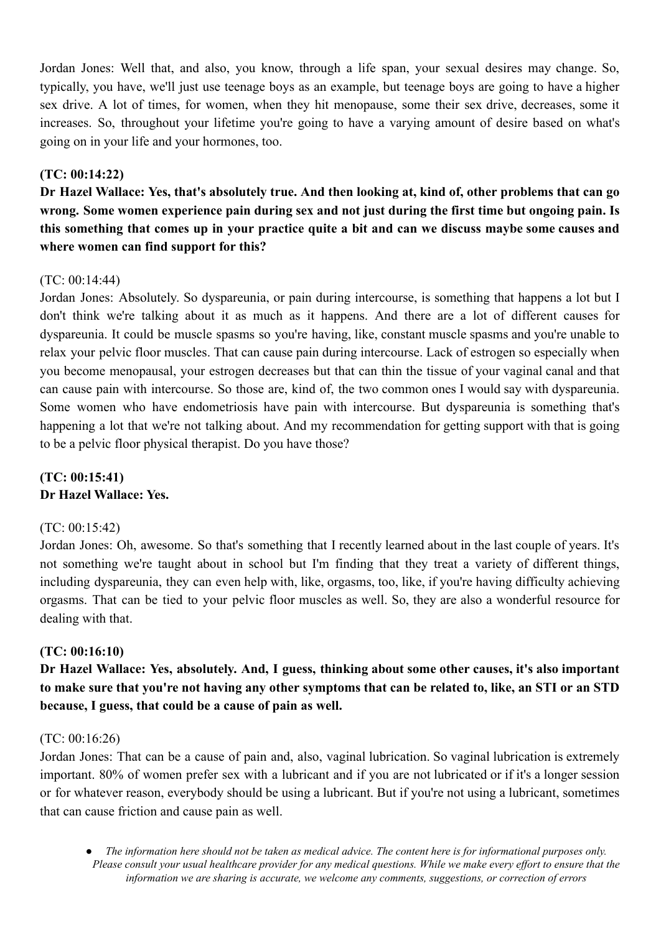Jordan Jones: Well that, and also, you know, through a life span, your sexual desires may change. So, typically, you have, we'll just use teenage boys as an example, but teenage boys are going to have a higher sex drive. A lot of times, for women, when they hit menopause, some their sex drive, decreases, some it increases. So, throughout your lifetime you're going to have a varying amount of desire based on what's going on in your life and your hormones, too.

# **(TC: 00:14:22)**

Dr Hazel Wallace: Yes, that's absolutely true. And then looking at, kind of, other problems that can go wrong. Some women experience pain during sex and not just during the first time but ongoing pain. Is this something that comes up in your practice quite a bit and can we discuss maybe some causes and **where women can find support for this?**

# (TC: 00:14:44)

Jordan Jones: Absolutely. So dyspareunia, or pain during intercourse, is something that happens a lot but I don't think we're talking about it as much as it happens. And there are a lot of different causes for dyspareunia. It could be muscle spasms so you're having, like, constant muscle spasms and you're unable to relax your pelvic floor muscles. That can cause pain during intercourse. Lack of estrogen so especially when you become menopausal, your estrogen decreases but that can thin the tissue of your vaginal canal and that can cause pain with intercourse. So those are, kind of, the two common ones I would say with dyspareunia. Some women who have endometriosis have pain with intercourse. But dyspareunia is something that's happening a lot that we're not talking about. And my recommendation for getting support with that is going to be a pelvic floor physical therapist. Do you have those?

# **(TC: 00:15:41) Dr Hazel Wallace: Yes.**

## (TC: 00:15:42)

Jordan Jones: Oh, awesome. So that's something that I recently learned about in the last couple of years. It's not something we're taught about in school but I'm finding that they treat a variety of different things, including dyspareunia, they can even help with, like, orgasms, too, like, if you're having difficulty achieving orgasms. That can be tied to your pelvic floor muscles as well. So, they are also a wonderful resource for dealing with that.

## **(TC: 00:16:10)**

**Dr Hazel Wallace: Yes, absolutely. And, I guess, thinking about some other causes, it's also important** to make sure that you're not having any other symptoms that can be related to, like, an STI or an STD **because, I guess, that could be a cause of pain as well.**

## (TC: 00:16:26)

Jordan Jones: That can be a cause of pain and, also, vaginal lubrication. So vaginal lubrication is extremely important. 80% of women prefer sex with a lubricant and if you are not lubricated or if it's a longer session or for whatever reason, everybody should be using a lubricant. But if you're not using a lubricant, sometimes that can cause friction and cause pain as well.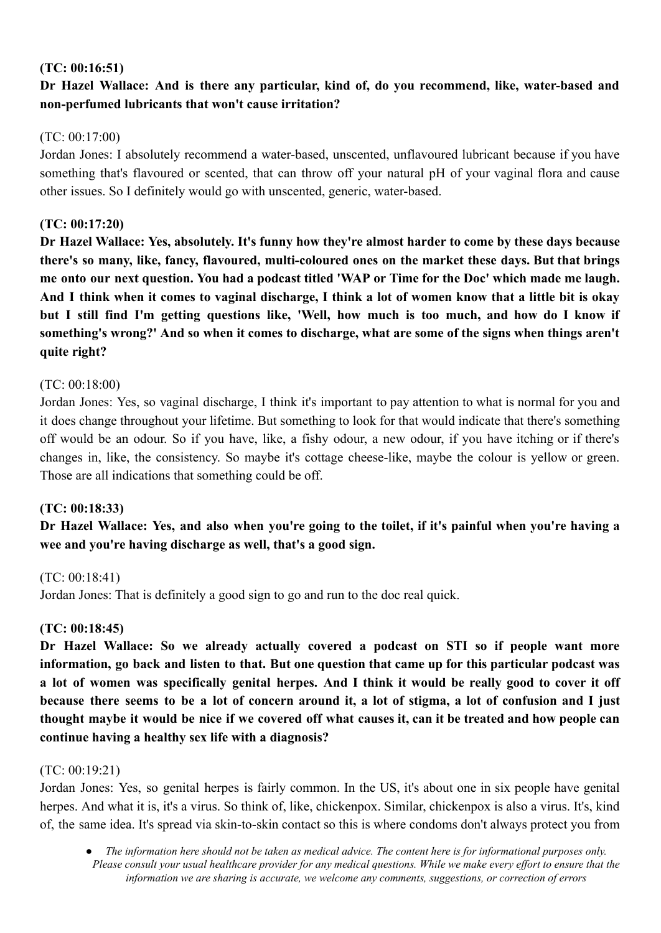# **(TC: 00:16:51)**

# **Dr Hazel Wallace: And is there any particular, kind of, do you recommend, like, water-based and non-perfumed lubricants that won't cause irritation?**

# (TC: 00:17:00)

Jordan Jones: I absolutely recommend a water-based, unscented, unflavoured lubricant because if you have something that's flavoured or scented, that can throw off your natural pH of your vaginal flora and cause other issues. So I definitely would go with unscented, generic, water-based.

# **(TC: 00:17:20)**

**Dr Hazel Wallace: Yes, absolutely. It's funny how they're almost harder to come by these days because there's so many, like, fancy, flavoured, multi-coloured ones on the market these days. But that brings** me onto our next question. You had a podcast titled 'WAP or Time for the Doc' which made me laugh. And I think when it comes to vaginal discharge, I think a lot of women know that a little bit is okay but I still find I'm getting questions like. 'Well, how much is too much, and how do I know if something's wrong?' And so when it comes to discharge, what are some of the signs when things aren't **quite right?**

## (TC: 00:18:00)

Jordan Jones: Yes, so vaginal discharge, I think it's important to pay attention to what is normal for you and it does change throughout your lifetime. But something to look for that would indicate that there's something off would be an odour. So if you have, like, a fishy odour, a new odour, if you have itching or if there's changes in, like, the consistency. So maybe it's cottage cheese-like, maybe the colour is yellow or green. Those are all indications that something could be off.

## **(TC: 00:18:33)**

Dr Hazel Wallace: Yes, and also when you're going to the toilet, if it's painful when you're having a **wee and you're having discharge as well, that's a good sign.**

## (TC: 00:18:41)

Jordan Jones: That is definitely a good sign to go and run to the doc real quick.

## **(TC: 00:18:45)**

**Dr Hazel Wallace: So we already actually covered a podcast on STI so if people want more** information, go back and listen to that. But one question that came up for this particular podcast was a lot of women was specifically genital herpes. And I think it would be really good to cover it off because there seems to be a lot of concern around it, a lot of stigma, a lot of confusion and I just thought maybe it would be nice if we covered off what causes it, can it be treated and how people can **continue having a healthy sex life with a diagnosis?**

## (TC: 00:19:21)

Jordan Jones: Yes, so genital herpes is fairly common. In the US, it's about one in six people have genital herpes. And what it is, it's a virus. So think of, like, chickenpox. Similar, chickenpox is also a virus. It's, kind of, the same idea. It's spread via skin-to-skin contact so this is where condoms don't always protect you from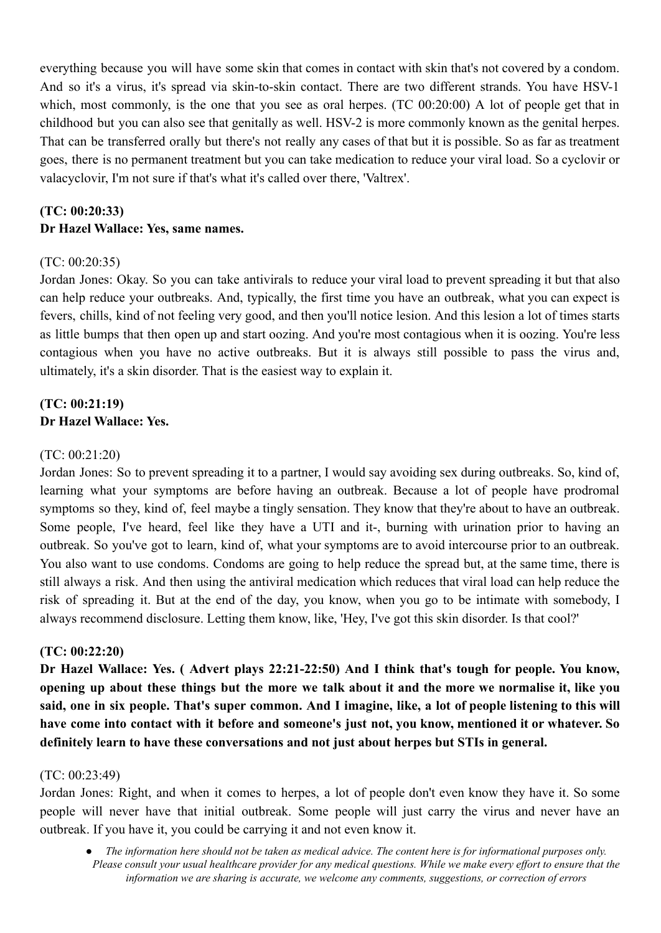everything because you will have some skin that comes in contact with skin that's not covered by a condom. And so it's a virus, it's spread via skin-to-skin contact. There are two different strands. You have HSV-1 which, most commonly, is the one that you see as oral herpes. (TC 00:20:00) A lot of people get that in childhood but you can also see that genitally as well. HSV-2 is more commonly known as the genital herpes. That can be transferred orally but there's not really any cases of that but it is possible. So as far as treatment goes, there is no permanent treatment but you can take medication to reduce your viral load. So a cyclovir or valacyclovir, I'm not sure if that's what it's called over there, 'Valtrex'.

# **(TC: 00:20:33) Dr Hazel Wallace: Yes, same names.**

#### $(TC: 00.20.35)$

Jordan Jones: Okay. So you can take antivirals to reduce your viral load to prevent spreading it but that also can help reduce your outbreaks. And, typically, the first time you have an outbreak, what you can expect is fevers, chills, kind of not feeling very good, and then you'll notice lesion. And this lesion a lot of times starts as little bumps that then open up and start oozing. And you're most contagious when it is oozing. You're less contagious when you have no active outbreaks. But it is always still possible to pass the virus and, ultimately, it's a skin disorder. That is the easiest way to explain it.

# **(TC: 00:21:19) Dr Hazel Wallace: Yes.**

#### (TC: 00:21:20)

Jordan Jones: So to prevent spreading it to a partner, I would say avoiding sex during outbreaks. So, kind of, learning what your symptoms are before having an outbreak. Because a lot of people have prodromal symptoms so they, kind of, feel maybe a tingly sensation. They know that they're about to have an outbreak. Some people, I've heard, feel like they have a UTI and it-, burning with urination prior to having an outbreak. So you've got to learn, kind of, what your symptoms are to avoid intercourse prior to an outbreak. You also want to use condoms. Condoms are going to help reduce the spread but, at the same time, there is still always a risk. And then using the antiviral medication which reduces that viral load can help reduce the risk of spreading it. But at the end of the day, you know, when you go to be intimate with somebody, I always recommend disclosure. Letting them know, like, 'Hey, I've got this skin disorder. Is that cool?'

#### **(TC: 00:22:20)**

**Dr Hazel Wallace: Yes. ( Advert plays 22:21-22:50) And I think that's tough for people. You know,** opening up about these things but the more we talk about it and the more we normalise it, like you said, one in six people. That's super common. And I imagine, like, a lot of people listening to this will have come into contact with it before and someone's just not, you know, mentioned it or whatever. So **definitely learn to have these conversations and not just about herpes but STIs in general.**

#### (TC: 00:23:49)

Jordan Jones: Right, and when it comes to herpes, a lot of people don't even know they have it. So some people will never have that initial outbreak. Some people will just carry the virus and never have an outbreak. If you have it, you could be carrying it and not even know it.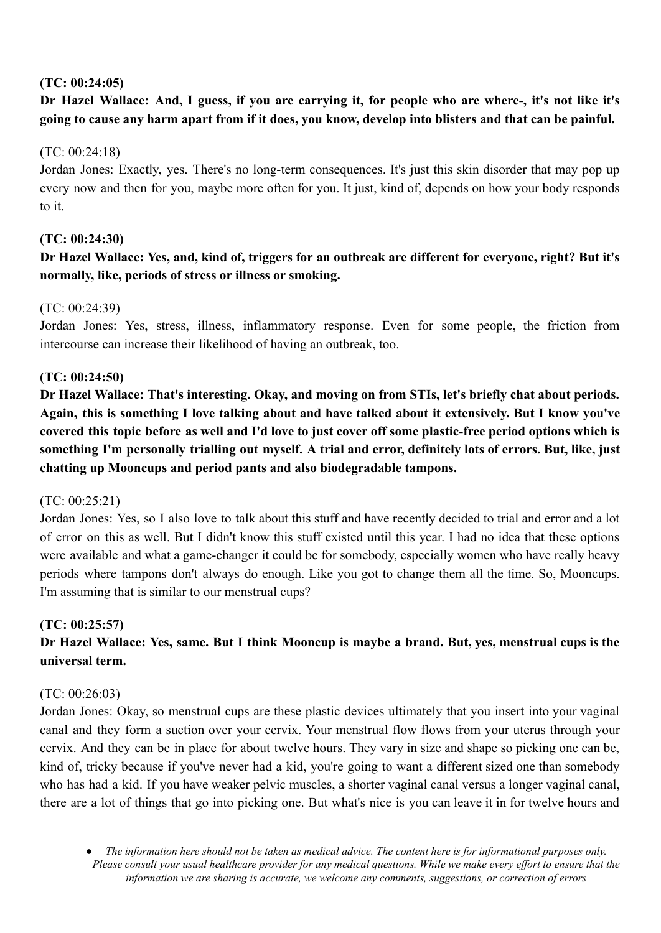# **(TC: 00:24:05)**

# Dr Hazel Wallace: And, I guess, if you are carrying it, for people who are where-, it's not like it's **going to cause any harm apart from if it does, you know, develop into blisters and that can be painful.**

# (TC: 00:24:18)

Jordan Jones: Exactly, yes. There's no long-term consequences. It's just this skin disorder that may pop up every now and then for you, maybe more often for you. It just, kind of, depends on how your body responds to it.

# **(TC: 00:24:30)**

# Dr Hazel Wallace: Yes, and, kind of, triggers for an outbreak are different for everyone, right? But it's **normally, like, periods of stress or illness or smoking.**

# (TC: 00:24:39)

Jordan Jones: Yes, stress, illness, inflammatory response. Even for some people, the friction from intercourse can increase their likelihood of having an outbreak, too.

# **(TC: 00:24:50)**

**Dr Hazel Wallace: That's interesting. Okay, and moving on from STIs, let's briefly chat about periods.** Again, this is something I love talking about and have talked about it extensively. But I know you've covered this topic before as well and I'd love to just cover off some plastic-free period options which is something I'm personally trialling out myself. A trial and error, definitely lots of errors. But, like, just **chatting up Mooncups and period pants and also biodegradable tampons.**

## (TC: 00:25:21)

Jordan Jones: Yes, so I also love to talk about this stuff and have recently decided to trial and error and a lot of error on this as well. But I didn't know this stuff existed until this year. I had no idea that these options were available and what a game-changer it could be for somebody, especially women who have really heavy periods where tampons don't always do enough. Like you got to change them all the time. So, Mooncups. I'm assuming that is similar to our menstrual cups?

## **(TC: 00:25:57)**

# Dr Hazel Wallace: Yes, same. But I think Mooncup is maybe a brand. But, yes, menstrual cups is the **universal term.**

## (TC: 00:26:03)

Jordan Jones: Okay, so menstrual cups are these plastic devices ultimately that you insert into your vaginal canal and they form a suction over your cervix. Your menstrual flow flows from your uterus through your cervix. And they can be in place for about twelve hours. They vary in size and shape so picking one can be, kind of, tricky because if you've never had a kid, you're going to want a different sized one than somebody who has had a kid. If you have weaker pelvic muscles, a shorter vaginal canal versus a longer vaginal canal, there are a lot of things that go into picking one. But what's nice is you can leave it in for twelve hours and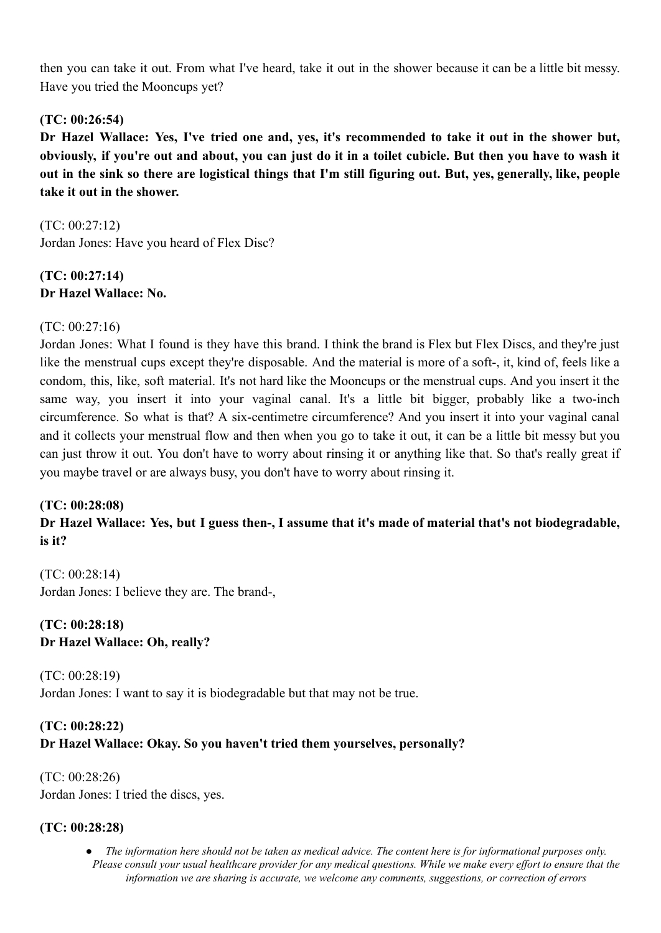then you can take it out. From what I've heard, take it out in the shower because it can be a little bit messy. Have you tried the Mooncups yet?

# **(TC: 00:26:54)**

Dr Hazel Wallace: Yes, I've tried one and, yes, it's recommended to take it out in the shower but, obviously, if you're out and about, you can just do it in a toilet cubicle. But then you have to wash it out in the sink so there are logistical things that I'm still figuring out. But, yes, generally, like, people **take it out in the shower.**

(TC: 00:27:12) Jordan Jones: Have you heard of Flex Disc?

# **(TC: 00:27:14) Dr Hazel Wallace: No.**

# $(TC: 00.27.16)$

Jordan Jones: What I found is they have this brand. I think the brand is Flex but Flex Discs, and they're just like the menstrual cups except they're disposable. And the material is more of a soft-, it, kind of, feels like a condom, this, like, soft material. It's not hard like the Mooncups or the menstrual cups. And you insert it the same way, you insert it into your vaginal canal. It's a little bit bigger, probably like a two-inch circumference. So what is that? A six-centimetre circumference? And you insert it into your vaginal canal and it collects your menstrual flow and then when you go to take it out, it can be a little bit messy but you can just throw it out. You don't have to worry about rinsing it or anything like that. So that's really great if you maybe travel or are always busy, you don't have to worry about rinsing it.

## **(TC: 00:28:08)**

Dr Hazel Wallace: Yes, but I guess then-, I assume that it's made of material that's not biodegradable, **is it?**

(TC: 00:28:14) Jordan Jones: I believe they are. The brand-,

# **(TC: 00:28:18) Dr Hazel Wallace: Oh, really?**

(TC: 00:28:19) Jordan Jones: I want to say it is biodegradable but that may not be true.

# **(TC: 00:28:22) Dr Hazel Wallace: Okay. So you haven't tried them yourselves, personally?**

(TC: 00:28:26) Jordan Jones: I tried the discs, yes.

## **(TC: 00:28:28)**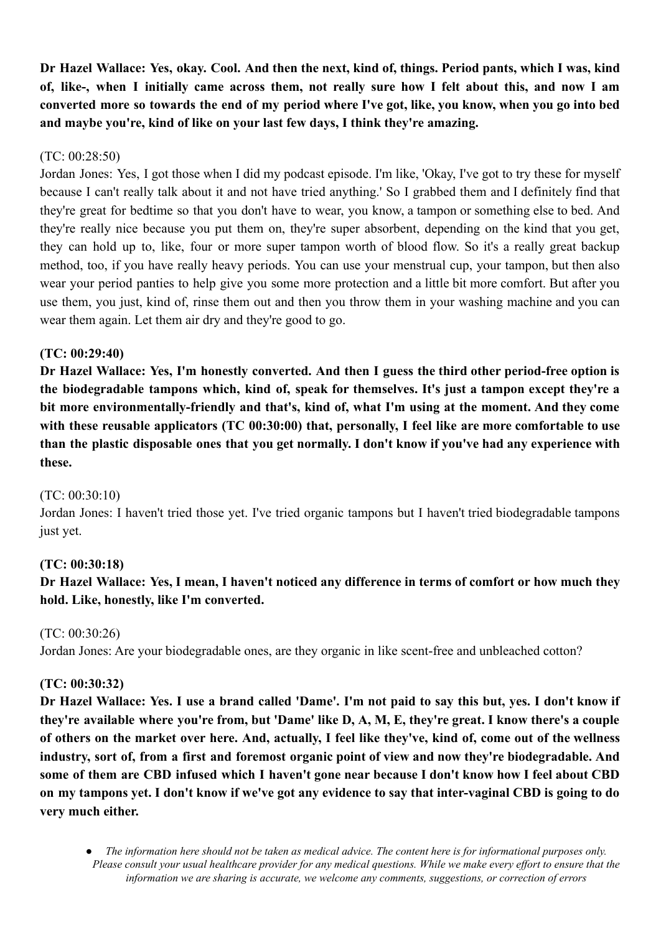Dr Hazel Wallace: Yes, okay, Cool. And then the next, kind of, things, Period pants, which I was, kind of, like-, when I initially came across them, not really sure how I felt about this, and now I am converted more so towards the end of my period where I've got, like, you know, when you go into bed **and maybe you're, kind of like on your last few days, I think they're amazing.**

# (TC: 00:28:50)

Jordan Jones: Yes, I got those when I did my podcast episode. I'm like, 'Okay, I've got to try these for myself because I can't really talk about it and not have tried anything.' So I grabbed them and I definitely find that they're great for bedtime so that you don't have to wear, you know, a tampon or something else to bed. And they're really nice because you put them on, they're super absorbent, depending on the kind that you get, they can hold up to, like, four or more super tampon worth of blood flow. So it's a really great backup method, too, if you have really heavy periods. You can use your menstrual cup, your tampon, but then also wear your period panties to help give you some more protection and a little bit more comfort. But after you use them, you just, kind of, rinse them out and then you throw them in your washing machine and you can wear them again. Let them air dry and they're good to go.

# **(TC: 00:29:40)**

**Dr Hazel Wallace: Yes, I'm honestly converted. And then I guess the third other period-free option is the biodegradable tampons which, kind of, speak for themselves. It's just a tampon except they're a bit more environmentally-friendly and that's, kind of, what I'm using at the moment. And they come with these reusable applicators (TC 00:30:00) that, personally, I feel like are more comfortable to use** than the plastic disposable ones that you get normally. I don't know if you've had any experience with **these.**

## (TC: 00:30:10)

Jordan Jones: I haven't tried those yet. I've tried organic tampons but I haven't tried biodegradable tampons just yet.

# **(TC: 00:30:18)**

# Dr Hazel Wallace: Yes, I mean, I haven't noticed any difference in terms of comfort or how much they **hold. Like, honestly, like I'm converted.**

# (TC: 00:30:26) Jordan Jones: Are your biodegradable ones, are they organic in like scent-free and unbleached cotton?

## **(TC: 00:30:32)**

Dr Hazel Wallace: Yes. I use a brand called 'Dame'. I'm not paid to say this but, yes. I don't know if they're available where you're from, but 'Dame' like D, A, M, E, they're great. I know there's a couple of others on the market over here. And, actually, I feel like they've, kind of, come out of the wellness **industry, sort of, from a first and foremost organic point of view and now they're biodegradable. And** some of them are CBD infused which I haven't gone near because I don't know how I feel about CBD on my tampons yet. I don't know if we've got any evidence to say that inter-vaginal CBD is going to do **very much either.**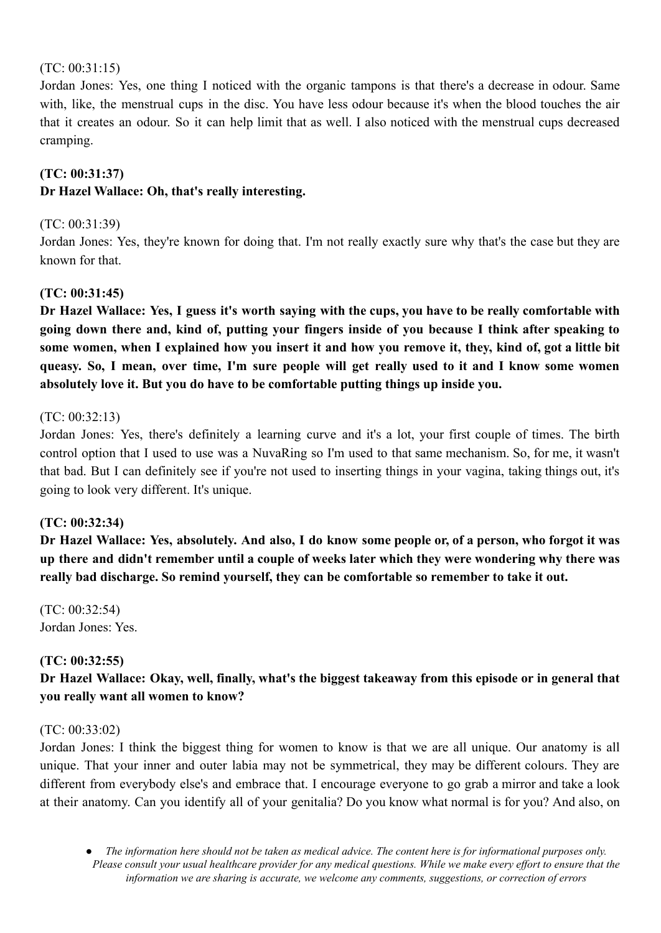## (TC: 00:31:15)

Jordan Jones: Yes, one thing I noticed with the organic tampons is that there's a decrease in odour. Same with, like, the menstrual cups in the disc. You have less odour because it's when the blood touches the air that it creates an odour. So it can help limit that as well. I also noticed with the menstrual cups decreased cramping.

# **(TC: 00:31:37)**

# **Dr Hazel Wallace: Oh, that's really interesting.**

## (TC: 00:31:39)

Jordan Jones: Yes, they're known for doing that. I'm not really exactly sure why that's the case but they are known for that.

# **(TC: 00:31:45)**

Dr Hazel Wallace: Yes, I guess it's worth saving with the cups, you have to be really comfortable with going down there and, kind of, putting your fingers inside of you because I think after speaking to some women, when I explained how you insert it and how you remove it, they, kind of, got a little bit queasy. So, I mean, over time, I'm sure people will get really used to it and I know some women **absolutely love it. But you do have to be comfortable putting things up inside you.**

## (TC: 00:32:13)

Jordan Jones: Yes, there's definitely a learning curve and it's a lot, your first couple of times. The birth control option that I used to use was a NuvaRing so I'm used to that same mechanism. So, for me, it wasn't that bad. But I can definitely see if you're not used to inserting things in your vagina, taking things out, it's going to look very different. It's unique.

## **(TC: 00:32:34)**

Dr Hazel Wallace: Yes, absolutely. And also, I do know some people or, of a person, who forgot it was **up there and didn't remember until a couple of weeks later which they were wondering why there was really bad discharge. So remind yourself, they can be comfortable so remember to take it out.**

(TC: 00:32:54) Jordan Jones: Yes.

# **(TC: 00:32:55)**

**Dr Hazel Wallace: Okay, well, finally, what's the biggest takeaway from this episode or in general that you really want all women to know?**

## (TC: 00:33:02)

Jordan Jones: I think the biggest thing for women to know is that we are all unique. Our anatomy is all unique. That your inner and outer labia may not be symmetrical, they may be different colours. They are different from everybody else's and embrace that. I encourage everyone to go grab a mirror and take a look at their anatomy. Can you identify all of your genitalia? Do you know what normal is for you? And also, on